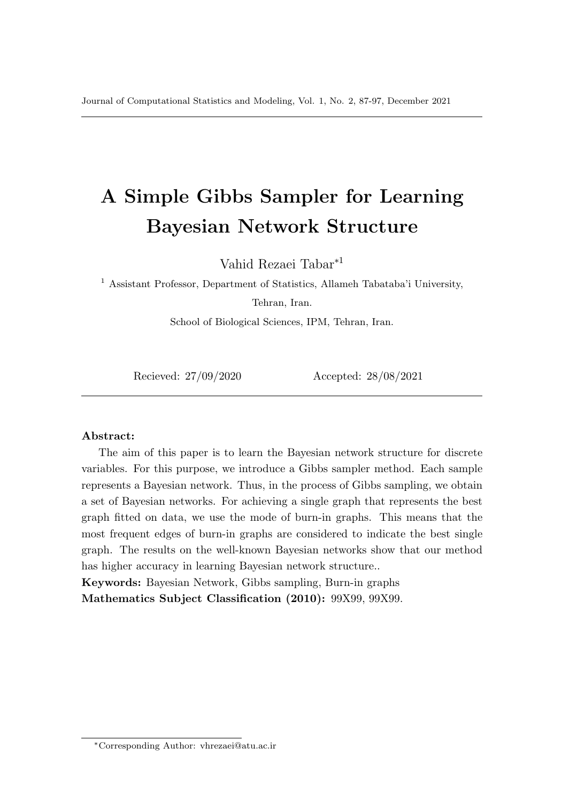# A Simple Gibbs Sampler for Learning Bayesian Network Structure

Vahid Rezaei Tabar<sup>∗</sup><sup>1</sup>

 $^{\rm 1}$  Assistant Professor, Department of Statistics, Allameh Tabataba'i University, Tehran, Iran.

School of Biological Sciences, IPM, Tehran, Iran.

Recieved: 27/09/2020 Accepted: 28/08/2021

#### Abstract:

The aim of this paper is to learn the Bayesian network structure for discrete variables. For this purpose, we introduce a Gibbs sampler method. Each sample represents a Bayesian network. Thus, in the process of Gibbs sampling, we obtain a set of Bayesian networks. For achieving a single graph that represents the best graph fitted on data, we use the mode of burn-in graphs. This means that the most frequent edges of burn-in graphs are considered to indicate the best single graph. The results on the well-known Bayesian networks show that our method has higher accuracy in learning Bayesian network structure..

Keywords: Bayesian Network, Gibbs sampling, Burn-in graphs Mathematics Subject Classification (2010): 99X99, 99X99.

<sup>∗</sup>Corresponding Author: vhrezaei@atu.ac.ir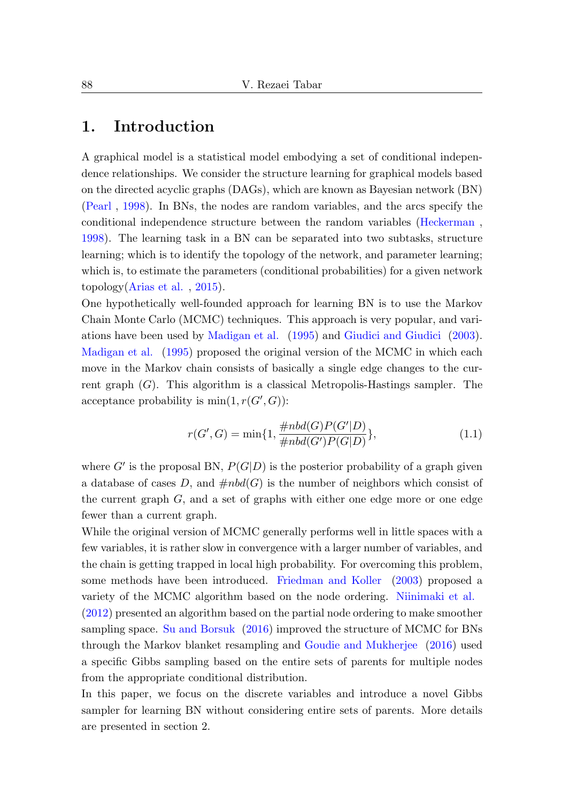#### 1. Introduction

A graphical model is a statistical model embodying a set of conditional independence relationships. We consider the structure learning for graphical models based on the directed acyclic graphs (DAGs), which are known as Bayesian network (BN) [\(Pearl](#page-10-0) , [1998\)](#page-10-0). In BNs, the nodes are random variables, and the arcs specify the conditional independence structure between the random variables [\(Heckerman](#page-9-0) , [1998\)](#page-9-0). The learning task in a BN can be separated into two subtasks, structure learning; which is to identify the topology of the network, and parameter learning; which is, to estimate the parameters (conditional probabilities) for a given network topology[\(Arias et al.](#page-9-1) , [2015\)](#page-9-1).

One hypothetically well-founded approach for learning BN is to use the Markov Chain Monte Carlo (MCMC) techniques. This approach is very popular, and variations have been used by [Madigan et al.](#page-9-2) [\(1995\)](#page-9-2) and [Giudici and Giudici](#page-9-3) [\(2003\)](#page-9-3). [Madigan et al.](#page-9-2) [\(1995\)](#page-9-2) proposed the original version of the MCMC in which each move in the Markov chain consists of basically a single edge changes to the current graph  $(G)$ . This algorithm is a classical Metropolis-Hastings sampler. The acceptance probability is  $min(1, r(G', G))$ :

$$
r(G', G) = \min\{1, \frac{\# nbd(G)P(G'|D)}{\# nbd(G')P(G|D)}\},
$$
\n(1.1)

where  $G'$  is the proposal BN,  $P(G|D)$  is the posterior probability of a graph given a database of cases D, and  $\#nbd(G)$  is the number of neighbors which consist of the current graph  $G$ , and a set of graphs with either one edge more or one edge fewer than a current graph.

While the original version of MCMC generally performs well in little spaces with a few variables, it is rather slow in convergence with a larger number of variables, and the chain is getting trapped in local high probability. For overcoming this problem, some methods have been introduced. [Friedman and Koller](#page-9-4) [\(2003\)](#page-9-4) proposed a variety of the MCMC algorithm based on the node ordering. [Niinimaki et al.](#page-9-5) [\(2012\)](#page-9-5) presented an algorithm based on the partial node ordering to make smoother sampling space. [Su and Borsuk](#page-10-1) [\(2016\)](#page-10-1) improved the structure of MCMC for BNs through the Markov blanket resampling and [Goudie and Mukherjee](#page-9-6) [\(2016\)](#page-9-6) used a specific Gibbs sampling based on the entire sets of parents for multiple nodes from the appropriate conditional distribution.

In this paper, we focus on the discrete variables and introduce a novel Gibbs sampler for learning BN without considering entire sets of parents. More details are presented in section 2.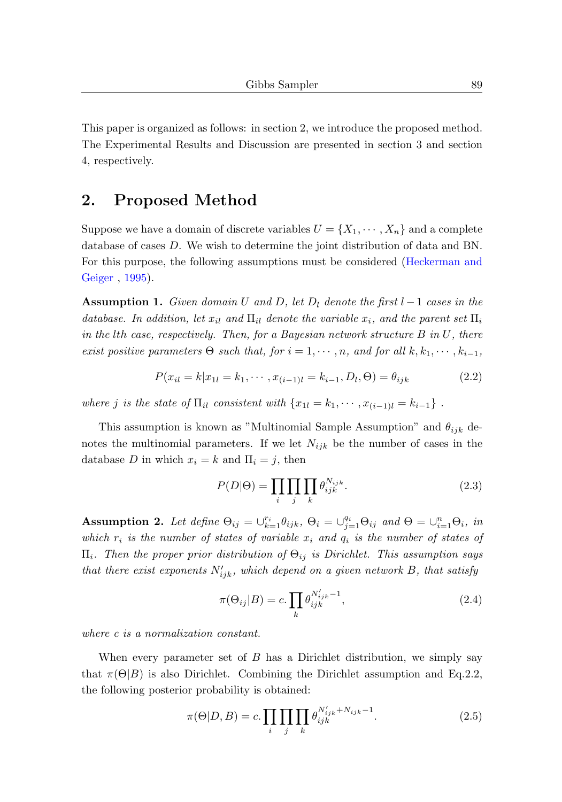This paper is organized as follows: in section 2, we introduce the proposed method. The Experimental Results and Discussion are presented in section 3 and section 4, respectively.

#### 2. Proposed Method

Suppose we have a domain of discrete variables  $U = \{X_1, \dots, X_n\}$  and a complete database of cases D. We wish to determine the joint distribution of data and BN. For this purpose, the following assumptions must be considered [\(Heckerman and](#page-9-7) [Geiger](#page-9-7) , [1995\)](#page-9-7).

**Assumption 1.** Given domain U and D, let  $D_l$  denote the first  $l-1$  cases in the database. In addition, let  $x_{il}$  and  $\Pi_{il}$  denote the variable  $x_i$ , and the parent set  $\Pi_i$ in the lth case, respectively. Then, for a Bayesian network structure  $B$  in  $U$ , there exist positive parameters  $\Theta$  such that, for  $i = 1, \dots, n$ , and for all  $k, k_1, \dots, k_{i-1}$ ,

$$
P(x_{il} = k|x_{1l} = k_1, \cdots, x_{(i-1)l} = k_{i-1}, D_l, \Theta) = \theta_{ijk}
$$
\n(2.2)

where j is the state of  $\Pi_{il}$  consistent with  $\{x_{1l} = k_1, \cdots, x_{(i-1)l} = k_{i-1}\}\$ .

This assumption is known as "Multinomial Sample Assumption" and  $\theta_{ijk}$  denotes the multinomial parameters. If we let  $N_{ijk}$  be the number of cases in the database D in which  $x_i = k$  and  $\Pi_i = j$ , then

$$
P(D|\Theta) = \prod_{i} \prod_{j} \prod_{k} \theta_{ijk}^{N_{ijk}}.
$$
 (2.3)

Assumption 2. Let define  $\Theta_{ij} = \bigcup_{k=1}^{r_i} \theta_{ijk}$ ,  $\Theta_i = \bigcup_{j=1}^{q_i} \Theta_{ij}$  and  $\Theta = \bigcup_{i=1}^{n_i} \Theta_i$ , in which  $r_i$  is the number of states of variable  $x_i$  and  $q_i$  is the number of states of  $\Pi_i$ . Then the proper prior distribution of  $\Theta_{ij}$  is Dirichlet. This assumption says that there exist exponents  $N'_{ijk}$ , which depend on a given network B, that satisfy

$$
\pi(\Theta_{ij}|B) = c \cdot \prod_k \theta_{ijk}^{N'_{ijk}-1},\tag{2.4}
$$

where c is a normalization constant.

When every parameter set of  $B$  has a Dirichlet distribution, we simply say that  $\pi(\Theta|B)$  is also Dirichlet. Combining the Dirichlet assumption and Eq.2.2, the following posterior probability is obtained:

$$
\pi(\Theta|D, B) = c \cdot \prod_{i} \prod_{j} \prod_{k} \theta_{ijk}^{N'_{ijk} + N_{ijk} - 1}.
$$
\n(2.5)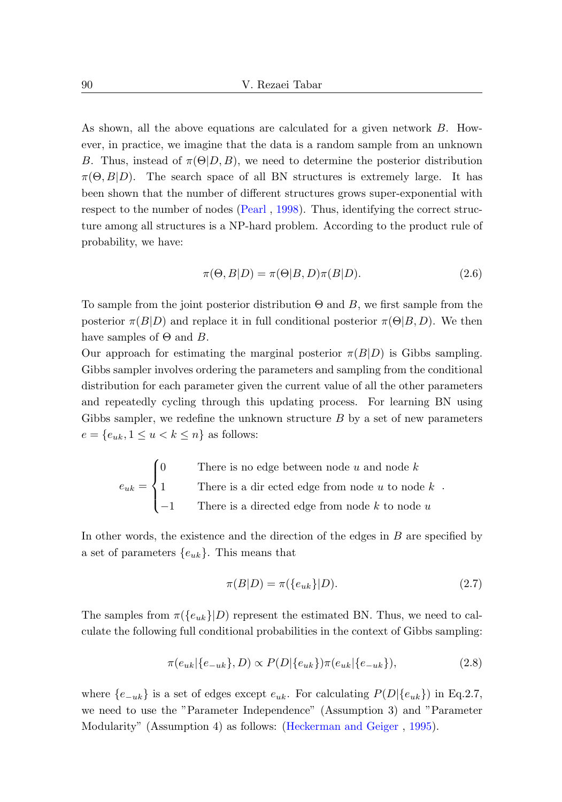As shown, all the above equations are calculated for a given network B. However, in practice, we imagine that the data is a random sample from an unknown B. Thus, instead of  $\pi(\Theta|D, B)$ , we need to determine the posterior distribution  $\pi(\Theta, B|D)$ . The search space of all BN structures is extremely large. It has been shown that the number of different structures grows super-exponential with respect to the number of nodes [\(Pearl](#page-10-0) , [1998\)](#page-10-0). Thus, identifying the correct structure among all structures is a NP-hard problem. According to the product rule of probability, we have:

$$
\pi(\Theta, B|D) = \pi(\Theta|B, D)\pi(B|D). \tag{2.6}
$$

To sample from the joint posterior distribution  $\Theta$  and B, we first sample from the posterior  $\pi(B|D)$  and replace it in full conditional posterior  $\pi(\Theta|B, D)$ . We then have samples of  $\Theta$  and  $B$ .

Our approach for estimating the marginal posterior  $\pi(B|D)$  is Gibbs sampling. Gibbs sampler involves ordering the parameters and sampling from the conditional distribution for each parameter given the current value of all the other parameters and repeatedly cycling through this updating process. For learning BN using Gibbs sampler, we redefine the unknown structure  $B$  by a set of new parameters  $e = \{e_{uk}, 1 \le u < k \le n\}$  as follows:

$$
e_{uk} = \begin{cases} 0 & \text{There is no edge between node } u \text{ and node } k \\ 1 & \text{There is a directed edge from node } u \text{ to node } k \\ -1 & \text{There is a directed edge from node } k \text{ to node } u \end{cases}.
$$

In other words, the existence and the direction of the edges in B are specified by a set of parameters  $\{e_{uk}\}\$ . This means that

$$
\pi(B|D) = \pi(\{e_{uk}\}|D). \tag{2.7}
$$

The samples from  $\pi({e_{uk}}|D)$  represent the estimated BN. Thus, we need to calculate the following full conditional probabilities in the context of Gibbs sampling:

$$
\pi(e_{uk}|\{e_{-uk}\}, D) \propto P(D|\{e_{uk}\})\pi(e_{uk}|\{e_{-uk}\}),\tag{2.8}
$$

where  $\{e_{-uk}\}\$ is a set of edges except  $e_{uk}$ . For calculating  $P(D|\{e_{uk}\})$  in Eq.2.7, we need to use the "Parameter Independence" (Assumption 3) and "Parameter Modularity" (Assumption 4) as follows: [\(Heckerman and Geiger](#page-9-7) , [1995\)](#page-9-7).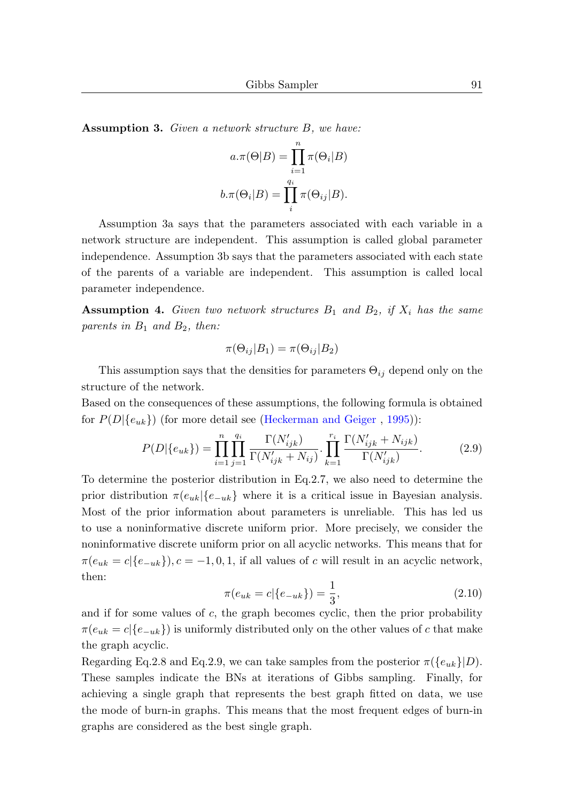Assumption 3. Given a network structure B, we have:

$$
a.\pi(\Theta|B) = \prod_{i=1}^{n} \pi(\Theta_i|B)
$$

$$
b.\pi(\Theta_i|B) = \prod_{i=1}^{q_i} \pi(\Theta_{ij}|B).
$$

Assumption 3a says that the parameters associated with each variable in a network structure are independent. This assumption is called global parameter independence. Assumption 3b says that the parameters associated with each state of the parents of a variable are independent. This assumption is called local parameter independence.

**Assumption 4.** Given two network structures  $B_1$  and  $B_2$ , if  $X_i$  has the same parents in  $B_1$  and  $B_2$ , then:

$$
\pi(\Theta_{ij}|B_1) = \pi(\Theta_{ij}|B_2)
$$

This assumption says that the densities for parameters  $\Theta_{ij}$  depend only on the structure of the network.

Based on the consequences of these assumptions, the following formula is obtained for  $P(D|\{e_{uk}\})$  (for more detail see [\(Heckerman and Geiger](#page-9-7), [1995\)](#page-9-7)):

$$
P(D|\{e_{uk}\}) = \prod_{i=1}^{n} \prod_{j=1}^{q_i} \frac{\Gamma(N'_{ijk})}{\Gamma(N'_{ijk} + N_{ij})} \cdot \prod_{k=1}^{r_i} \frac{\Gamma(N'_{ijk} + N_{ijk})}{\Gamma(N'_{ijk})}.
$$
 (2.9)

To determine the posterior distribution in Eq.2.7, we also need to determine the prior distribution  $\pi(e_{uk} | \{e_{-uk}\}\)$  where it is a critical issue in Bayesian analysis. Most of the prior information about parameters is unreliable. This has led us to use a noninformative discrete uniform prior. More precisely, we consider the noninformative discrete uniform prior on all acyclic networks. This means that for  $\pi(e_{uk} = c | \{e_{-uk}\}\rangle, c = -1, 0, 1$ , if all values of c will result in an acyclic network, then:

$$
\pi(e_{uk} = c | \{e_{-uk}\}) = \frac{1}{3},\tag{2.10}
$$

and if for some values of  $c$ , the graph becomes cyclic, then the prior probability  $\pi(e_{uk} = c | \{e_{-uk}\})$  is uniformly distributed only on the other values of c that make the graph acyclic.

Regarding Eq.2.8 and Eq.2.9, we can take samples from the posterior  $\pi({e_{uk}}|D)$ . These samples indicate the BNs at iterations of Gibbs sampling. Finally, for achieving a single graph that represents the best graph fitted on data, we use the mode of burn-in graphs. This means that the most frequent edges of burn-in graphs are considered as the best single graph.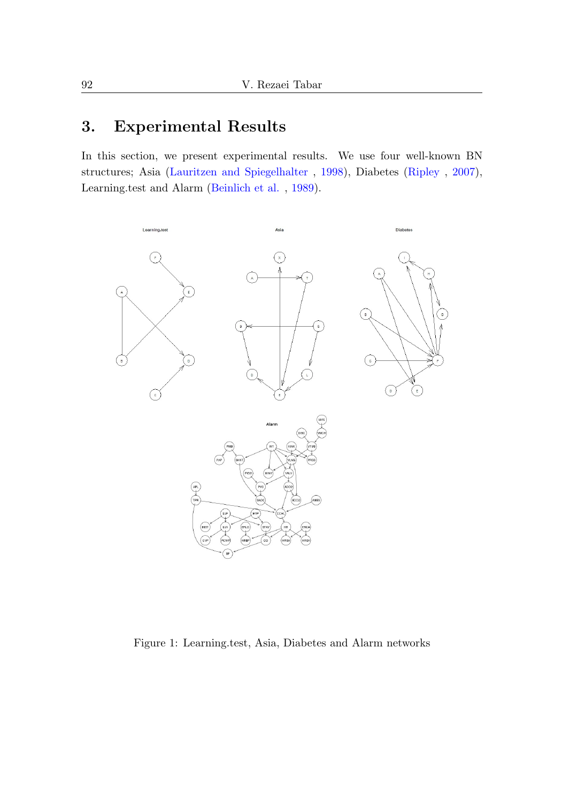## 3. Experimental Results

In this section, we present experimental results. We use four well-known BN structures; Asia [\(Lauritzen and Spiegelhalter](#page-9-8) , [1998\)](#page-9-8), Diabetes [\(Ripley](#page-10-2) , [2007\)](#page-10-2), Learning.test and Alarm [\(Beinlich et al.](#page-9-9) , [1989\)](#page-9-9).



Figure 1: Learning.test, Asia, Diabetes and Alarm networks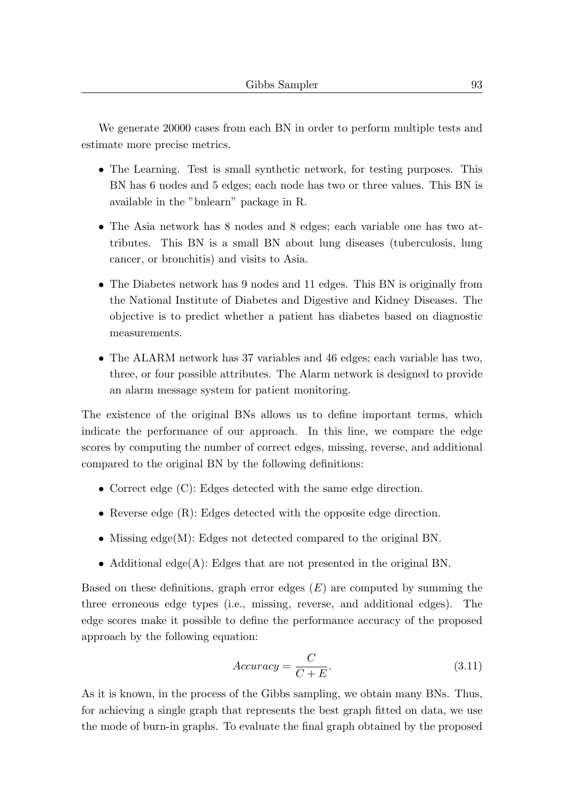We generate 20000 cases from each BN in order to perform multiple tests and estimate more precise metrics.

- The Learning. Test is small synthetic network, for testing purposes. This BN has 6 nodes and 5 edges; each node has two or three values. This BN is available in the "bnlearn" package in R.
- The Asia network has 8 nodes and 8 edges; each variable one has two attributes. This BN is a small BN about lung diseases (tuberculosis, lung cancer, or bronchitis) and visits to Asia.
- The Diabetes network has 9 nodes and 11 edges. This BN is originally from the National Institute of Diabetes and Digestive and Kidney Diseases. The objective is to predict whether a patient has diabetes based on diagnostic measurements.
- The ALARM network has 37 variables and 46 edges; each variable has two, three, or four possible attributes. The Alarm network is designed to provide an alarm message system for patient monitoring.

The existence of the original BNs allows us to define important terms, which indicate the performance of our approach. In this line, we compare the edge scores by computing the number of correct edges, missing, reverse, and additional compared to the original BN by the following definitions:

- Correct edge (C): Edges detected with the same edge direction.
- Reverse edge (R): Edges detected with the opposite edge direction.
- Missing edge(M): Edges not detected compared to the original BN.
- Additional edge(A): Edges that are not presented in the original BN.

Based on these definitions, graph error edges  $(E)$  are computed by summing the three erroneous edge types (i.e., missing, reverse, and additional edges). The edge scores make it possible to define the performance accuracy of the proposed approach by the following equation:

$$
Accuracy = \frac{C}{C + E}.
$$
\n(3.11)

As it is known, in the process of the Gibbs sampling, we obtain many BNs. Thus, for achieving a single graph that represents the best graph fitted on data, we use the mode of burn-in graphs. To evaluate the final graph obtained by the proposed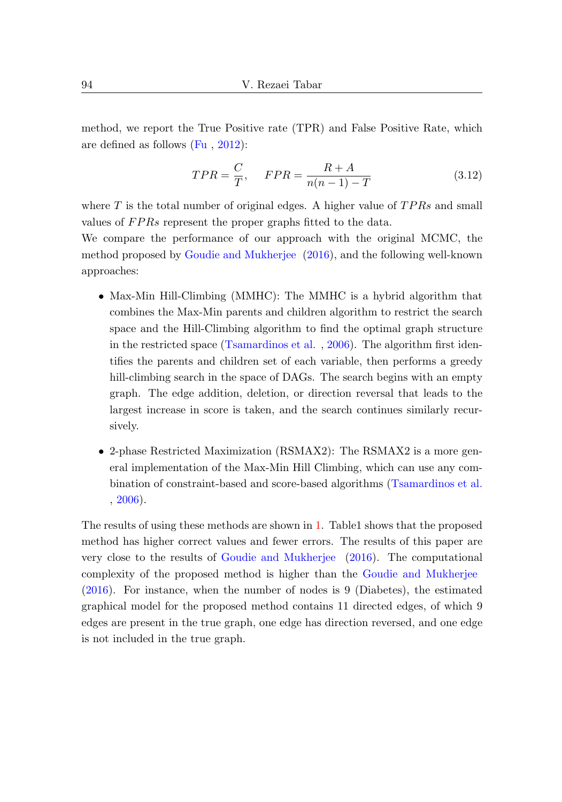method, we report the True Positive rate (TPR) and False Positive Rate, which are defined as follows [\(Fu](#page-9-10) , [2012\)](#page-9-10):

$$
TPR = \frac{C}{T}, \quad FPR = \frac{R+A}{n(n-1)-T}
$$
\n(3.12)

where  $T$  is the total number of original edges. A higher value of  $TPRs$  and small values of FPRs represent the proper graphs fitted to the data.

We compare the performance of our approach with the original MCMC, the method proposed by [Goudie and Mukherjee](#page-9-6) [\(2016\)](#page-9-6), and the following well-known approaches:

- Max-Min Hill-Climbing (MMHC): The MMHC is a hybrid algorithm that combines the Max-Min parents and children algorithm to restrict the search space and the Hill-Climbing algorithm to find the optimal graph structure in the restricted space [\(Tsamardinos et al.](#page-10-3) , [2006\)](#page-10-3). The algorithm first identifies the parents and children set of each variable, then performs a greedy hill-climbing search in the space of DAGs. The search begins with an empty graph. The edge addition, deletion, or direction reversal that leads to the largest increase in score is taken, and the search continues similarly recursively.
- 2-phase Restricted Maximization (RSMAX2): The RSMAX2 is a more general implementation of the Max-Min Hill Climbing, which can use any combination of constraint-based and score-based algorithms [\(Tsamardinos et al.](#page-10-3) [,](#page-10-3) [2006\)](#page-10-3).

The results of using these methods are shown in [1.](#page-8-0) Table1 shows that the proposed method has higher correct values and fewer errors. The results of this paper are very close to the results of [Goudie and Mukherjee](#page-9-6) [\(2016\)](#page-9-6). The computational complexity of the proposed method is higher than the [Goudie and Mukherjee](#page-9-6) [\(2016\)](#page-9-6). For instance, when the number of nodes is 9 (Diabetes), the estimated graphical model for the proposed method contains 11 directed edges, of which 9 edges are present in the true graph, one edge has direction reversed, and one edge is not included in the true graph.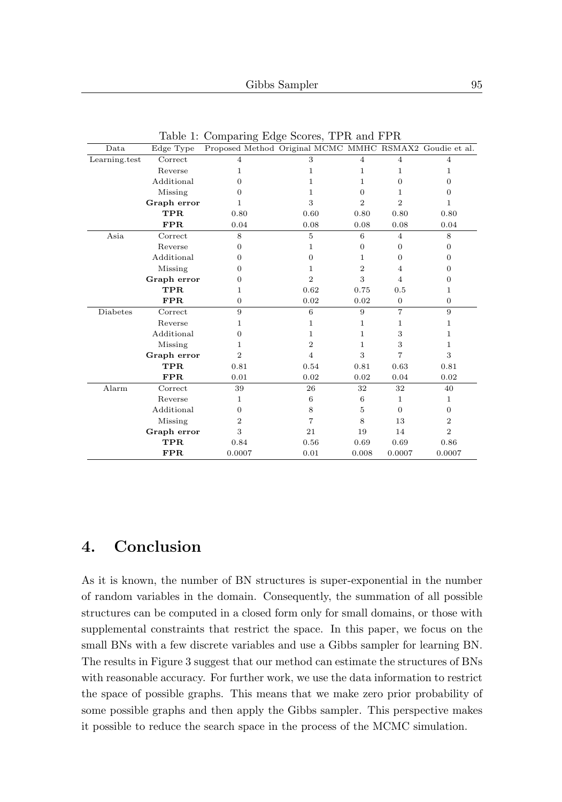| Data                                         | Edge Type   | Proposed Method Original MCMC MMHC RSMAX2 Goudie et al. |                |                |                |                |
|----------------------------------------------|-------------|---------------------------------------------------------|----------------|----------------|----------------|----------------|
| $\label{eq:learning} \textbf{Learning.test}$ | Correct     | $\overline{4}$                                          | 3              | $\overline{4}$ | $\overline{4}$ | $\overline{4}$ |
|                                              | Reverse     | 1                                                       | 1              | 1              | 1              | 1              |
|                                              | Additional  | $\Omega$                                                | 1              | 1              | $\Omega$       | $\Omega$       |
|                                              | Missing     | $\Omega$                                                | 1              | $\Omega$       | 1              | $\Omega$       |
|                                              | Graph error | 1                                                       | 3              | $\overline{2}$ | $\overline{2}$ | 1              |
|                                              | <b>TPR</b>  | 0.80                                                    | 0.60           | 0.80           | 0.80           | 0.80           |
|                                              | FPR         | 0.04                                                    | 0.08           | 0.08           | 0.08           | 0.04           |
| Asia                                         | Correct     | 8                                                       | 5              | 6              | $\overline{4}$ | 8              |
|                                              | Reverse     | $\theta$                                                | 1              | $\overline{0}$ | $\Omega$       | $\theta$       |
|                                              | Additional  | $\Omega$                                                | $\Omega$       | 1              | $\Omega$       | $\theta$       |
|                                              | Missing     | $\Omega$                                                | 1              | $\overline{2}$ | $\overline{4}$ | $\Omega$       |
|                                              | Graph error | $\Omega$                                                | $\overline{2}$ | 3              | $\overline{4}$ | $\Omega$       |
|                                              | <b>TPR</b>  | 1                                                       | 0.62           | 0.75           | 0.5            | 1              |
|                                              | <b>FPR</b>  | $\theta$                                                | 0.02           | 0.02           | $\overline{0}$ | $\theta$       |
| <b>Diabetes</b>                              | Correct     | 9                                                       | 6              | 9              | $\overline{7}$ | 9              |
|                                              | Reverse     | 1                                                       | 1              | 1              | 1              | 1              |
|                                              | Additional  | $\theta$                                                | 1              | 1              | 3              | 1              |
|                                              | Missing     | 1                                                       | $\overline{2}$ | 1              | 3              | $\mathbf{1}$   |
|                                              | Graph error | $\overline{2}$                                          | $\overline{4}$ | 3              | 7              | 3              |
|                                              | TPR.        | 0.81                                                    | 0.54           | 0.81           | 0.63           | 0.81           |
|                                              | FPR         | 0.01                                                    | 0.02           | 0.02           | 0.04           | 0.02           |
| Alarm                                        | Correct     | 39                                                      | 26             | 32             | 32             | 40             |
|                                              | Reverse     | 1                                                       | 6              | 6              | $\mathbf{1}$   | $\mathbf{1}$   |
|                                              | Additional  | $\Omega$                                                | 8              | 5              | $\Omega$       | $\Omega$       |
|                                              | Missing     | $\overline{2}$                                          | 7              | 8              | 13             | $\overline{2}$ |
|                                              | Graph error | 3                                                       | 21             | 19             | 14             | $\overline{2}$ |
|                                              | <b>TPR</b>  | 0.84                                                    | 0.56           | 0.69           | 0.69           | 0.86           |
|                                              | <b>FPR</b>  | 0.0007                                                  | 0.01           | 0.008          | 0.0007         | 0.0007         |

<span id="page-8-0"></span>Table 1: Comparing Edge Scores, TPR and FPR

### 4. Conclusion

As it is known, the number of BN structures is super-exponential in the number of random variables in the domain. Consequently, the summation of all possible structures can be computed in a closed form only for small domains, or those with supplemental constraints that restrict the space. In this paper, we focus on the small BNs with a few discrete variables and use a Gibbs sampler for learning BN. The results in Figure 3 suggest that our method can estimate the structures of BNs with reasonable accuracy. For further work, we use the data information to restrict the space of possible graphs. This means that we make zero prior probability of some possible graphs and then apply the Gibbs sampler. This perspective makes it possible to reduce the search space in the process of the MCMC simulation.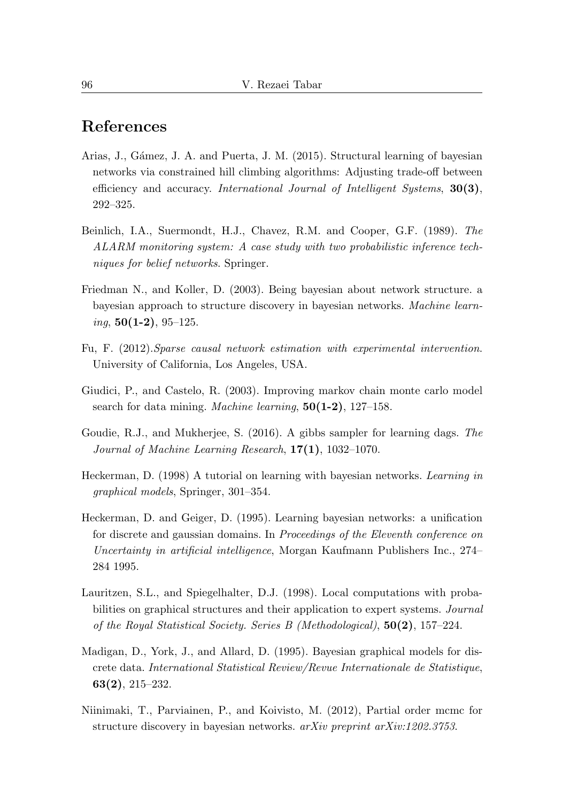# References

- <span id="page-9-1"></span>Arias, J., Gámez, J. A. and Puerta, J. M. (2015). Structural learning of bayesian networks via constrained hill climbing algorithms: Adjusting trade-off between efficiency and accuracy. International Journal of Intelligent Systems, 30(3), 292–325.
- <span id="page-9-9"></span>Beinlich, I.A., Suermondt, H.J., Chavez, R.M. and Cooper, G.F. (1989). The ALARM monitoring system: A case study with two probabilistic inference techniques for belief networks. Springer.
- <span id="page-9-4"></span>Friedman N., and Koller, D. (2003). Being bayesian about network structure. a bayesian approach to structure discovery in bayesian networks. Machine learn $ing, 50(1-2), 95-125.$
- <span id="page-9-10"></span>Fu, F. (2012).Sparse causal network estimation with experimental intervention. University of California, Los Angeles, USA.
- <span id="page-9-3"></span>Giudici, P., and Castelo, R. (2003). Improving markov chain monte carlo model search for data mining. *Machine learning*, **50(1-2)**, 127–158.
- <span id="page-9-6"></span>Goudie, R.J., and Mukherjee, S. (2016). A gibbs sampler for learning dags. The Journal of Machine Learning Research,  $17(1)$ ,  $1032-1070$ .
- <span id="page-9-0"></span>Heckerman, D. (1998) A tutorial on learning with bayesian networks. Learning in graphical models, Springer, 301–354.
- <span id="page-9-7"></span>Heckerman, D. and Geiger, D. (1995). Learning bayesian networks: a unification for discrete and gaussian domains. In Proceedings of the Eleventh conference on Uncertainty in artificial intelligence, Morgan Kaufmann Publishers Inc., 274– 284 1995.
- <span id="page-9-8"></span>Lauritzen, S.L., and Spiegelhalter, D.J. (1998). Local computations with probabilities on graphical structures and their application to expert systems. Journal of the Royal Statistical Society. Series B (Methodological), 50(2), 157–224.
- <span id="page-9-2"></span>Madigan, D., York, J., and Allard, D. (1995). Bayesian graphical models for discrete data. International Statistical Review/Revue Internationale de Statistique, 63(2), 215–232.
- <span id="page-9-5"></span>Niinimaki, T., Parviainen, P., and Koivisto, M. (2012), Partial order mcmc for structure discovery in bayesian networks. arXiv preprint arXiv:1202.3753.